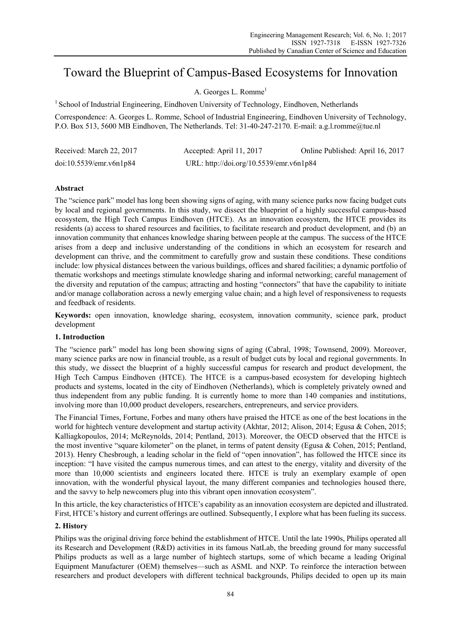# Toward the Blueprint of Campus-Based Ecosystems for Innovation

A. Georges L. Romme<sup>1</sup>

<sup>1</sup> School of Industrial Engineering, Eindhoven University of Technology, Eindhoven, Netherlands

Correspondence: A. Georges L. Romme, School of Industrial Engineering, Eindhoven University of Technology, P.O. Box 513, 5600 MB Eindhoven, The Netherlands. Tel: 31-40-247-2170. E-mail: a.g.l.romme@tue.nl

| Received: March 22, 2017 | Accepted: April 11, 2017                | Online Published: April 16, 2017 |
|--------------------------|-----------------------------------------|----------------------------------|
| doi:10.5539/emr.v6n1p84  | URL: http://doi.org/10.5539/emr.v6n1p84 |                                  |

## **Abstract**

The "science park" model has long been showing signs of aging, with many science parks now facing budget cuts by local and regional governments. In this study, we dissect the blueprint of a highly successful campus-based ecosystem, the High Tech Campus Eindhoven (HTCE). As an innovation ecosystem, the HTCE provides its residents (a) access to shared resources and facilities, to facilitate research and product development, and (b) an innovation community that enhances knowledge sharing between people at the campus. The success of the HTCE arises from a deep and inclusive understanding of the conditions in which an ecosystem for research and development can thrive, and the commitment to carefully grow and sustain these conditions. These conditions include: low physical distances between the various buildings, offices and shared facilities; a dynamic portfolio of thematic workshops and meetings stimulate knowledge sharing and informal networking; careful management of the diversity and reputation of the campus; attracting and hosting "connectors" that have the capability to initiate and/or manage collaboration across a newly emerging value chain; and a high level of responsiveness to requests and feedback of residents.

**Keywords:** open innovation, knowledge sharing, ecosystem, innovation community, science park, product development

## **1. Introduction**

The "science park" model has long been showing signs of aging (Cabral, 1998; Townsend, 2009). Moreover, many science parks are now in financial trouble, as a result of budget cuts by local and regional governments. In this study, we dissect the blueprint of a highly successful campus for research and product development, the High Tech Campus Eindhoven (HTCE). The HTCE is a campus-based ecosystem for developing hightech products and systems, located in the city of Eindhoven (Netherlands), which is completely privately owned and thus independent from any public funding. It is currently home to more than 140 companies and institutions, involving more than 10,000 product developers, researchers, entrepreneurs, and service providers.

The Financial Times, Fortune, Forbes and many others have praised the HTCE as one of the best locations in the world for hightech venture development and startup activity (Akhtar, 2012; Alison, 2014; Egusa & Cohen, 2015; Kalliagkopoulos, 2014; McReynolds, 2014; Pentland, 2013). Moreover, the OECD observed that the HTCE is the most inventive "square kilometer" on the planet, in terms of patent density (Egusa & Cohen, 2015; Pentland, 2013). Henry Chesbrough, a leading scholar in the field of "open innovation", has followed the HTCE since its inception: "I have visited the campus numerous times, and can attest to the energy, vitality and diversity of the more than 10,000 scientists and engineers located there. HTCE is truly an exemplary example of open innovation, with the wonderful physical layout, the many different companies and technologies housed there, and the savvy to help newcomers plug into this vibrant open innovation ecosystem".

In this article, the key characteristics of HTCE's capability as an innovation ecosystem are depicted and illustrated. First, HTCE's history and current offerings are outlined. Subsequently, I explore what has been fueling its success.

## **2. History**

Philips was the original driving force behind the establishment of HTCE. Until the late 1990s, Philips operated all its Research and Development (R&D) activities in its famous NatLab, the breeding ground for many successful Philips products as well as a large number of hightech startups, some of which became a leading Original Equipment Manufacturer (OEM) themselves—such as ASML and NXP. To reinforce the interaction between researchers and product developers with different technical backgrounds, Philips decided to open up its main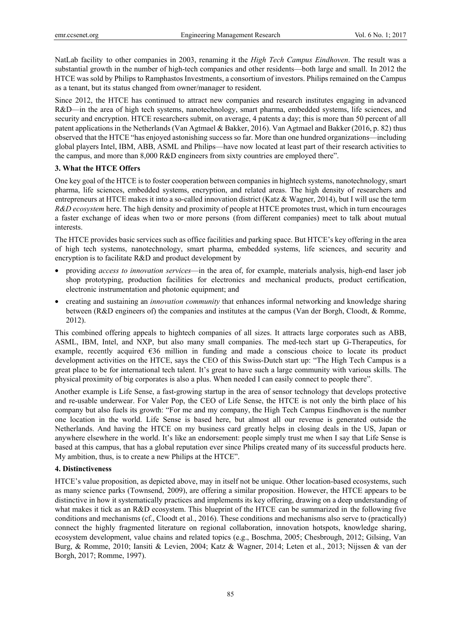NatLab facility to other companies in 2003, renaming it the *High Tech Campus Eindhoven*. The result was a substantial growth in the number of high-tech companies and other residents—both large and small. In 2012 the HTCE was sold by Philips to Ramphastos Investments, a consortium of investors. Philips remained on the Campus as a tenant, but its status changed from owner/manager to resident.

Since 2012, the HTCE has continued to attract new companies and research institutes engaging in advanced R&D—in the area of high tech systems, nanotechnology, smart pharma, embedded systems, life sciences, and security and encryption. HTCE researchers submit, on average, 4 patents a day; this is more than 50 percent of all patent applications in the Netherlands (Van Agtmael & Bakker, 2016). Van Agtmael and Bakker (2016, p. 82) thus observed that the HTCE "has enjoyed astonishing success so far. More than one hundred organizations—including global players Intel, IBM, ABB, ASML and Philips—have now located at least part of their research activities to the campus, and more than 8,000 R&D engineers from sixty countries are employed there".

### **3. What the HTCE Offers**

One key goal of the HTCE is to foster cooperation between companies in hightech systems, nanotechnology, smart pharma, life sciences, embedded systems, encryption, and related areas. The high density of researchers and entrepreneurs at HTCE makes it into a so-called innovation district (Katz & Wagner, 2014), but I will use the term *R&D ecosystem* here. The high density and proximity of people at HTCE promotes trust, which in turn encourages a faster exchange of ideas when two or more persons (from different companies) meet to talk about mutual interests.

The HTCE provides basic services such as office facilities and parking space. But HTCE's key offering in the area of high tech systems, nanotechnology, smart pharma, embedded systems, life sciences, and security and encryption is to facilitate R&D and product development by

- providing *access to innovation services*—in the area of, for example, materials analysis, high-end laser job shop prototyping, production facilities for electronics and mechanical products, product certification, electronic instrumentation and photonic equipment; and
- creating and sustaining an *innovation community* that enhances informal networking and knowledge sharing between (R&D engineers of) the companies and institutes at the campus (Van der Borgh, Cloodt, & Romme, 2012).

This combined offering appeals to hightech companies of all sizes. It attracts large corporates such as ABB, ASML, IBM, Intel, and NXP, but also many small companies. The med-tech start up G-Therapeutics, for example, recently acquired €36 million in funding and made a conscious choice to locate its product development activities on the HTCE, says the CEO of this Swiss-Dutch start up: "The High Tech Campus is a great place to be for international tech talent. It's great to have such a large community with various skills. The physical proximity of big corporates is also a plus. When needed I can easily connect to people there".

Another example is Life Sense, a fast-growing startup in the area of sensor technology that develops protective and re-usable underwear. For Valer Pop, the CEO of Life Sense, the HTCE is not only the birth place of his company but also fuels its growth: "For me and my company, the High Tech Campus Eindhoven is the number one location in the world. Life Sense is based here, but almost all our revenue is generated outside the Netherlands. And having the HTCE on my business card greatly helps in closing deals in the US, Japan or anywhere elsewhere in the world. It's like an endorsement: people simply trust me when I say that Life Sense is based at this campus, that has a global reputation ever since Philips created many of its successful products here. My ambition, thus, is to create a new Philips at the HTCE".

## **4. Distinctiveness**

HTCE's value proposition, as depicted above, may in itself not be unique. Other location-based ecosystems, such as many science parks (Townsend, 2009), are offering a similar proposition. However, the HTCE appears to be distinctive in how it systematically practices and implements its key offering, drawing on a deep understanding of what makes it tick as an R&D ecosystem. This blueprint of the HTCE can be summarized in the following five conditions and mechanisms (cf., Cloodt et al., 2016). These conditions and mechanisms also serve to (practically) connect the highly fragmented literature on regional collaboration, innovation hotspots, knowledge sharing, ecosystem development, value chains and related topics (e.g., Boschma, 2005; Chesbrough, 2012; Gilsing, Van Burg, & Romme, 2010; Iansiti & Levien, 2004; Katz & Wagner, 2014; Leten et al., 2013; Nijssen & van der Borgh, 2017; Romme, 1997).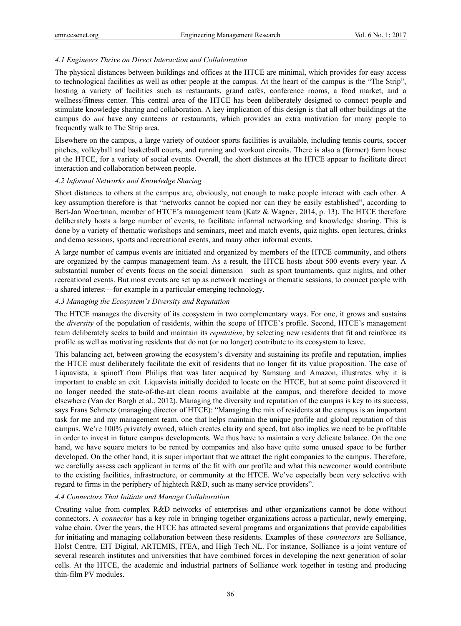### *4.1 Engineers Thrive on Direct Interaction and Collaboration*

The physical distances between buildings and offices at the HTCE are minimal, which provides for easy access to technological facilities as well as other people at the campus. At the heart of the campus is the "The Strip", hosting a variety of facilities such as restaurants, grand cafés, conference rooms, a food market, and a wellness/fitness center. This central area of the HTCE has been deliberately designed to connect people and stimulate knowledge sharing and collaboration. A key implication of this design is that all other buildings at the campus do *not* have any canteens or restaurants, which provides an extra motivation for many people to frequently walk to The Strip area.

Elsewhere on the campus, a large variety of outdoor sports facilities is available, including tennis courts, soccer pitches, volleyball and basketball courts, and running and workout circuits. There is also a (former) farm house at the HTCE, for a variety of social events. Overall, the short distances at the HTCE appear to facilitate direct interaction and collaboration between people.

#### *4.2 Informal Networks and Knowledge Sharing*

Short distances to others at the campus are, obviously, not enough to make people interact with each other. A key assumption therefore is that "networks cannot be copied nor can they be easily established", according to Bert-Jan Woertman, member of HTCE's management team (Katz & Wagner, 2014, p. 13). The HTCE therefore deliberately hosts a large number of events, to facilitate informal networking and knowledge sharing. This is done by a variety of thematic workshops and seminars, meet and match events, quiz nights, open lectures, drinks and demo sessions, sports and recreational events, and many other informal events.

A large number of campus events are initiated and organized by members of the HTCE community, and others are organized by the campus management team. As a result, the HTCE hosts about 500 events every year. A substantial number of events focus on the social dimension—such as sport tournaments, quiz nights, and other recreational events. But most events are set up as network meetings or thematic sessions, to connect people with a shared interest—for example in a particular emerging technology.

### *4.3 Managing the Ecosystem's Diversity and Reputation*

The HTCE manages the diversity of its ecosystem in two complementary ways. For one, it grows and sustains the *diversity* of the population of residents, within the scope of HTCE's profile. Second, HTCE's management team deliberately seeks to build and maintain its *reputation*, by selecting new residents that fit and reinforce its profile as well as motivating residents that do not (or no longer) contribute to its ecosystem to leave.

This balancing act, between growing the ecosystem's diversity and sustaining its profile and reputation, implies the HTCE must deliberately facilitate the exit of residents that no longer fit its value proposition. The case of Liquavista, a spinoff from Philips that was later acquired by Samsung and Amazon, illustrates why it is important to enable an exit. Liquavista initially decided to locate on the HTCE, but at some point discovered it no longer needed the state-of-the-art clean rooms available at the campus, and therefore decided to move elsewhere (Van der Borgh et al., 2012). Managing the diversity and reputation of the campus is key to its success, says Frans Schmetz (managing director of HTCE): "Managing the mix of residents at the campus is an important task for me and my management team, one that helps maintain the unique profile and global reputation of this campus. We're 100% privately owned, which creates clarity and speed, but also implies we need to be profitable in order to invest in future campus developments. We thus have to maintain a very delicate balance. On the one hand, we have square meters to be rented by companies and also have quite some unused space to be further developed. On the other hand, it is super important that we attract the right companies to the campus. Therefore, we carefully assess each applicant in terms of the fit with our profile and what this newcomer would contribute to the existing facilities, infrastructure, or community at the HTCE. We've especially been very selective with regard to firms in the periphery of hightech R&D, such as many service providers".

## *4.4 Connectors That Initiate and Manage Collaboration*

Creating value from complex R&D networks of enterprises and other organizations cannot be done without connectors. A *connector* has a key role in bringing together organizations across a particular, newly emerging, value chain. Over the years, the HTCE has attracted several programs and organizations that provide capabilities for initiating and managing collaboration between these residents. Examples of these *connectors* are Solliance, Holst Centre, EIT Digital, ARTEMIS, ITEA, and High Tech NL. For instance, Solliance is a joint venture of several research institutes and universities that have combined forces in developing the next generation of solar cells. At the HTCE, the academic and industrial partners of Solliance work together in testing and producing thin-film PV modules.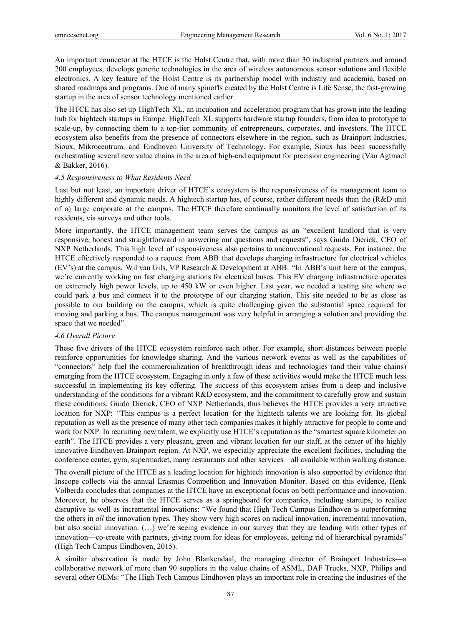An important connector at the HTCE is the Holst Centre that, with more than 30 industrial partners and around 200 employees, develops generic technologies in the area of wireless autonomous sensor solutions and flexible electronics. A key feature of the Holst Centre is its partnership model with industry and academia, based on shared roadmaps and programs. One of many spinoffs created by the Holst Centre is Life Sense, the fast-growing startup in the area of sensor technology mentioned earlier.

The HTCE has also set up HighTech XL, an incubation and acceleration program that has grown into the leading hub for hightech startups in Europe. HighTech XL supports hardware startup founders, from idea to prototype to scale-up, by connecting them to a top-tier community of entrepreneurs, corporates, and investors. The HTCE ecosystem also benefits from the presence of connectors elsewhere in the region, such as Brainport Industries, Sioux, Mikrocentrum, and Eindhoven University of Technology. For example, Sioux has been successfully orchestrating several new value chains in the area of high-end equipment for precision engineering (Van Agtmael & Bakker, 2016).

#### *4.5 Responsiveness to What Residents Need*

Last but not least, an important driver of HTCE's ecosystem is the responsiveness of its management team to highly different and dynamic needs. A hightech startup has, of course, rather different needs than the (R&D unit of a) large corporate at the campus. The HTCE therefore continually monitors the level of satisfaction of its residents, via surveys and other tools.

More importantly, the HTCE management team serves the campus as an "excellent landlord that is very responsive, honest and straightforward in answering our questions and requests", says Guido Dierick, CEO of NXP Netherlands. This high level of responsiveness also pertains to unconventional requests. For instance, the HTCE effectively responded to a request from ABB that develops charging infrastructure for electrical vehicles (EV's) at the campus. Wil van Gils, VP Research & Development at ABB: "In ABB's unit here at the campus, we're currently working on fast charging stations for electrical buses. This EV charging infrastructure operates on extremely high power levels, up to 450 kW or even higher. Last year, we needed a testing site where we could park a bus and connect it to the prototype of our charging station. This site needed to be as close as possible to our building on the campus, which is quite challenging given the substantial space required for moving and parking a bus. The campus management was very helpful in arranging a solution and providing the space that we needed".

#### *4.6 Overall Picture*

These five drivers of the HTCE ecosystem reinforce each other. For example, short distances between people reinforce opportunities for knowledge sharing. And the various network events as well as the capabilities of "connectors" help fuel the commercialization of breakthrough ideas and technologies (and their value chains) emerging from the HTCE ecosystem. Engaging in only a few of these activities would make the HTCE much less successful in implementing its key offering. The success of this ecosystem arises from a deep and inclusive understanding of the conditions for a vibrant R&D ecosystem, and the commitment to carefully grow and sustain these conditions. Guido Dierick, CEO of NXP Netherlands, thus believes the HTCE provides a very attractive location for NXP: "This campus is a perfect location for the hightech talents we are looking for. Its global reputation as well as the presence of many other tech companies makes it highly attractive for people to come and work for NXP. In recruiting new talent, we explicitly use HTCE's reputation as the "smartest square kilometer on earth". The HTCE provides a very pleasant, green and vibrant location for our staff, at the center of the highly innovative Eindhoven-Brainport region. At NXP, we especially appreciate the excellent facilities, including the conference center, gym, supermarket, many restaurants and other services—all available within walking distance.

The overall picture of the HTCE as a leading location for hightech innovation is also supported by evidence that Inscope collects via the annual Erasmus Competition and Innovation Monitor. Based on this evidence, Henk Volberda concludes that companies at the HTCE have an exceptional focus on both performance and innovation. Moreover, he observes that the HTCE serves as a springboard for companies, including startups, to realize disruptive as well as incremental innovations: "We found that High Tech Campus Eindhoven is outperforming the others in *all* the innovation types. They show very high scores on radical innovation, incremental innovation, but also social innovation. (…) we're seeing evidence in our survey that they are leading with other types of innovation—co-create with partners, giving room for ideas for employees, getting rid of hierarchical pyramids" (High Tech Campus Eindhoven, 2015).

A similar observation is made by John Blankendaal, the managing director of Brainport Industries—a collaborative network of more than 90 suppliers in the value chains of ASML, DAF Trucks, NXP, Philips and several other OEMs: "The High Tech Campus Eindhoven plays an important role in creating the industries of the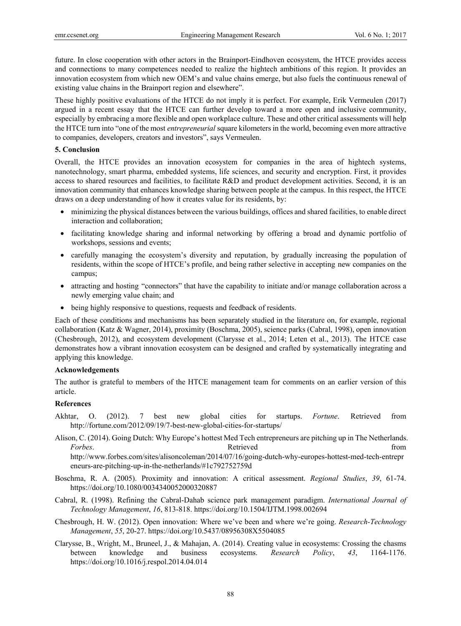future. In close cooperation with other actors in the Brainport-Eindhoven ecosystem, the HTCE provides access and connections to many competences needed to realize the hightech ambitions of this region. It provides an innovation ecosystem from which new OEM's and value chains emerge, but also fuels the continuous renewal of existing value chains in the Brainport region and elsewhere".

These highly positive evaluations of the HTCE do not imply it is perfect. For example, Erik Vermeulen (2017) argued in a recent essay that the HTCE can further develop toward a more open and inclusive community, especially by embracing a more flexible and open workplace culture. These and other critical assessments will help the HTCE turn into "one of the most *entrepreneurial* square kilometers in the world, becoming even more attractive to companies, developers, creators and investors", says Vermeulen.

#### **5. Conclusion**

Overall, the HTCE provides an innovation ecosystem for companies in the area of hightech systems, nanotechnology, smart pharma, embedded systems, life sciences, and security and encryption. First, it provides access to shared resources and facilities, to facilitate R&D and product development activities. Second, it is an innovation community that enhances knowledge sharing between people at the campus. In this respect, the HTCE draws on a deep understanding of how it creates value for its residents, by:

- minimizing the physical distances between the various buildings, offices and shared facilities, to enable direct interaction and collaboration;
- facilitating knowledge sharing and informal networking by offering a broad and dynamic portfolio of workshops, sessions and events;
- carefully managing the ecosystem's diversity and reputation, by gradually increasing the population of residents, within the scope of HTCE's profile, and being rather selective in accepting new companies on the campus;
- attracting and hosting "connectors" that have the capability to initiate and/or manage collaboration across a newly emerging value chain; and
- being highly responsive to questions, requests and feedback of residents.

Each of these conditions and mechanisms has been separately studied in the literature on, for example, regional collaboration (Katz & Wagner, 2014), proximity (Boschma, 2005), science parks (Cabral, 1998), open innovation (Chesbrough, 2012), and ecosystem development (Clarysse et al., 2014; Leten et al., 2013). The HTCE case demonstrates how a vibrant innovation ecosystem can be designed and crafted by systematically integrating and applying this knowledge.

#### **Acknowledgements**

The author is grateful to members of the HTCE management team for comments on an earlier version of this article.

#### **References**

- Akhtar, O. (2012). 7 best new global cities for startups. *Fortune*. Retrieved from http://fortune.com/2012/09/19/7-best-new-global-cities-for-startups/
- Alison, C. (2014). Going Dutch: Why Europe's hottest Med Tech entrepreneurs are pitching up in The Netherlands. *Forbes*. **Compared From** *Retrieved Compared from <b>Retrieved <i>Compared from* http://www.forbes.com/sites/alisoncoleman/2014/07/16/going-dutch-why-europes-hottest-med-tech-entrepr eneurs-are-pitching-up-in-the-netherlands/#1c792752759d
- Boschma, R. A. (2005). Proximity and innovation: A critical assessment. *Regional Studies*, *39*, 61-74. https://doi.org/10.1080/0034340052000320887
- Cabral, R. (1998). Refining the Cabral-Dahab science park management paradigm. *International Journal of Technology Management*, *16*, 813-818. https://doi.org/10.1504/IJTM.1998.002694
- Chesbrough, H. W. (2012). Open innovation: Where we've been and where we're going. *Research-Technology Management*, *55*, 20-27. https://doi.org/10.5437/08956308X5504085
- Clarysse, B., Wright, M., Bruneel, J., & Mahajan, A. (2014). Creating value in ecosystems: Crossing the chasms between knowledge and business ecosystems. *Research Policy*, *43*, 1164-1176. https://doi.org/10.1016/j.respol.2014.04.014